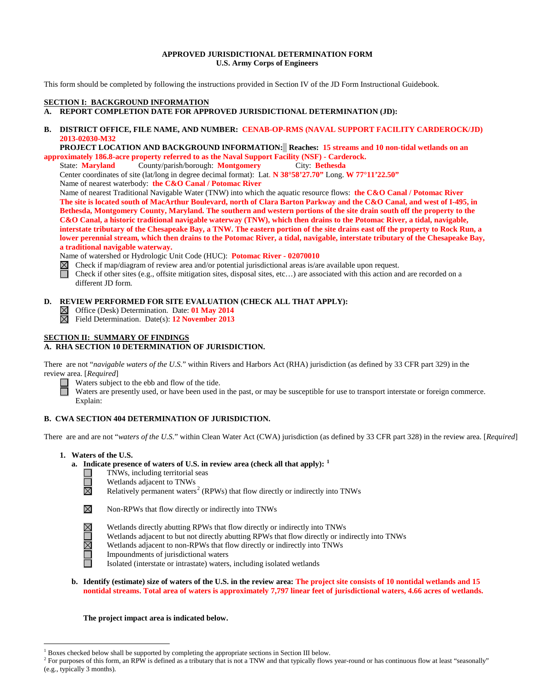## **APPROVED JURISDICTIONAL DETERMINATION FORM U.S. Army Corps of Engineers**

This form should be completed by following the instructions provided in Section IV of the JD Form Instructional Guidebook.

# **SECTION I: BACKGROUND INFORMATION**

## **A. REPORT COMPLETION DATE FOR APPROVED JURISDICTIONAL DETERMINATION (JD):**

**B. DISTRICT OFFICE, FILE NAME, AND NUMBER: CENAB-OP-RMS (NAVAL SUPPORT FACILITY CARDEROCK/JD) 2013-02030-M32**

 **PROJECT LOCATION AND BACKGROUND INFORMATION: Reaches: 15 streams and 10 non-tidal wetlands on an approximately 186.8-acre property referred to as the Naval Support Facility (NSF) - Carderock.**

State: **Maryland** County/parish/borough: **Montgomery** City: **Bethesda** Center coordinates of site (lat/long in degree decimal format): Lat. **N 38°58'27.70"** Long. **W 77°11'22.50"**

Name of nearest waterbody: **the C&O Canal / Potomac River**

Name of nearest Traditional Navigable Water (TNW) into which the aquatic resource flows: **the C&O Canal / Potomac River The site is located south of MacArthur Boulevard, north of Clara Barton Parkway and the C&O Canal, and west of I-495, in Bethesda, Montgomery County, Maryland. The southern and western portions of the site drain south off the property to the C&O Canal, a historic traditional navigable waterway (TNW), which then drains to the Potomac River, a tidal, navigable, interstate tributary of the Chesapeake Bay, a TNW. The eastern portion of the site drains east off the property to Rock Run, a lower perennial stream, which then drains to the Potomac River, a tidal, navigable, interstate tributary of the Chesapeake Bay, a traditional navigable waterway.**

Name of watershed or Hydrologic Unit Code (HUC): **Potomac River - 02070010**<br>
⊠ Check if map/diagram of review area and/or potential jurisdictional areas is/ar<br>
Check if other sites (e.g., offsite mitigation sites, disposa Check if map/diagram of review area and/or potential jurisdictional areas is/are available upon request. Check if other sites (e.g., offsite mitigation sites, disposal sites, etc…) are associated with this action and are recorded on a different JD form.

## **D. REVIEW PERFORMED FOR SITE EVALUATION (CHECK ALL THAT APPLY):**

Office (Desk) Determination. Date: **01 May 2014**

岗 Field Determination. Date(s): **12 November 2013**

# **SECTION II: SUMMARY OF FINDINGS**

# **A. RHA SECTION 10 DETERMINATION OF JURISDICTION.**

There are not "*navigable waters of the U.S.*" within Rivers and Harbors Act (RHA) jurisdiction (as defined by 33 CFR part 329) in the review area. [*Required*]

Waters subject to the ebb and flow of the tide.

Waters are presently used, or have been used in the past, or may be susceptible for use to transport interstate or foreign commerce. Explain:

# **B. CWA SECTION 404 DETERMINATION OF JURISDICTION.**

There are and are not "*waters of the U.S.*" within Clean Water Act (CWA) jurisdiction (as defined by 33 CFR part 328) in the review area. [*Required*]

**1. Waters of the U.S.**

## **a. Indicate presence of waters of U.S. in review area (check all that apply): [1](#page-0-0)**

- TNWs, including territorial seas
	- Wetlands adjacent to TNWs

Relatively permanent waters<sup>[2](#page-0-1)</sup> (RPWs) that flow directly or indirectly into TNWs



**XOZ** 

岗

Non-RPWs that flow directly or indirectly into TNWs

- Wetlands directly abutting RPWs that flow directly or indirectly into TNWs
- Wetlands adjacent to but not directly abutting RPWs that flow directly or indirectly into TNWs
- Wetlands adjacent to non-RPWs that flow directly or indirectly into TNWs
- Impoundments of jurisdictional waters
- Isolated (interstate or intrastate) waters, including isolated wetlands
- **b. Identify (estimate) size of waters of the U.S. in the review area: The project site consists of 10 nontidal wetlands and 15 nontidal streams. Total area of waters is approximately 7,797 linear feet of jurisdictional waters, 4.66 acres of wetlands.**

**The project impact area is indicated below.**

 $<sup>1</sup>$  Boxes checked below shall be supported by completing the appropriate sections in Section III below.</sup>

<span id="page-0-1"></span><span id="page-0-0"></span><sup>&</sup>lt;sup>2</sup> For purposes of this form, an RPW is defined as a tributary that is not a TNW and that typically flows year-round or has continuous flow at least "seasonally" (e.g., typically 3 months).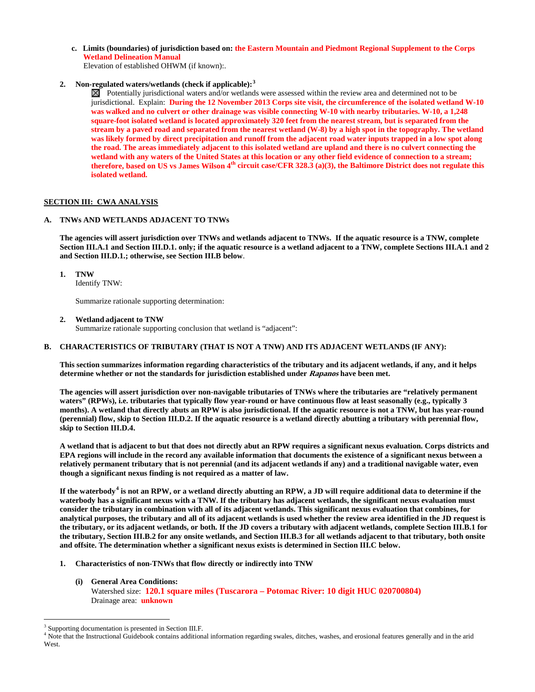**c. Limits (boundaries) of jurisdiction based on: the Eastern Mountain and Piedmont Regional Supplement to the Corps Wetland Delineation Manual**

Elevation of established OHWM (if known):.

**2. Non-regulated waters/wetlands (check if applicable): [3](#page-1-0)**

 $\boxtimes$  Potentially jurisdictional waters and/or wetlands were assessed within the review area and determined not to be jurisdictional. Explain: **During the 12 November 2013 Corps site visit, the circumference of the isolated wetland W-10 was walked and no culvert or other drainage was visible connecting W-10 with nearby tributaries. W-10, a 1,248 square-foot isolated wetland is located approximately 320 feet from the nearest stream, but is separated from the stream by a paved road and separated from the nearest wetland (W-8) by a high spot in the topography. The wetland was likely formed by direct precipitation and runoff from the adjacent road water inputs trapped in a low spot along the road. The areas immediately adjacent to this isolated wetland are upland and there is no culvert connecting the wetland with any waters of the United States at this location or any other field evidence of connection to a stream; therefore, based on US vs James Wilson 4th circuit case/CFR 328.3 (a)(3), the Baltimore District does not regulate this isolated wetland.** 

## **SECTION III: CWA ANALYSIS**

## **A. TNWs AND WETLANDS ADJACENT TO TNWs**

**The agencies will assert jurisdiction over TNWs and wetlands adjacent to TNWs. If the aquatic resource is a TNW, complete Section III.A.1 and Section III.D.1. only; if the aquatic resource is a wetland adjacent to a TNW, complete Sections III.A.1 and 2 and Section III.D.1.; otherwise, see Section III.B below**.

### **1. TNW**

Identify TNW:

Summarize rationale supporting determination:

**2. Wetland adjacent to TNW** 

Summarize rationale supporting conclusion that wetland is "adjacent":

### **B. CHARACTERISTICS OF TRIBUTARY (THAT IS NOT A TNW) AND ITS ADJACENT WETLANDS (IF ANY):**

**This section summarizes information regarding characteristics of the tributary and its adjacent wetlands, if any, and it helps determine whether or not the standards for jurisdiction established under Rapanos have been met.** 

**The agencies will assert jurisdiction over non-navigable tributaries of TNWs where the tributaries are "relatively permanent waters" (RPWs), i.e. tributaries that typically flow year-round or have continuous flow at least seasonally (e.g., typically 3 months). A wetland that directly abuts an RPW is also jurisdictional. If the aquatic resource is not a TNW, but has year-round (perennial) flow, skip to Section III.D.2. If the aquatic resource is a wetland directly abutting a tributary with perennial flow, skip to Section III.D.4.**

**A wetland that is adjacent to but that does not directly abut an RPW requires a significant nexus evaluation. Corps districts and EPA regions will include in the record any available information that documents the existence of a significant nexus between a relatively permanent tributary that is not perennial (and its adjacent wetlands if any) and a traditional navigable water, even though a significant nexus finding is not required as a matter of law.**

**If the waterbody[4](#page-1-1) is not an RPW, or a wetland directly abutting an RPW, a JD will require additional data to determine if the waterbody has a significant nexus with a TNW. If the tributary has adjacent wetlands, the significant nexus evaluation must consider the tributary in combination with all of its adjacent wetlands. This significant nexus evaluation that combines, for analytical purposes, the tributary and all of its adjacent wetlands is used whether the review area identified in the JD request is the tributary, or its adjacent wetlands, or both. If the JD covers a tributary with adjacent wetlands, complete Section III.B.1 for the tributary, Section III.B.2 for any onsite wetlands, and Section III.B.3 for all wetlands adjacent to that tributary, both onsite and offsite. The determination whether a significant nexus exists is determined in Section III.C below.**

- **1. Characteristics of non-TNWs that flow directly or indirectly into TNW**
	- **(i) General Area Conditions:** Watershed size: **120.1 square miles (Tuscarora – Potomac River: 10 digit HUC 020700804)** Drainage area: **unknown**

<span id="page-1-0"></span><sup>&</sup>lt;sup>3</sup> Supporting documentation is presented in Section III.F.

<span id="page-1-1"></span><sup>&</sup>lt;sup>4</sup> Note that the Instructional Guidebook contains additional information regarding swales, ditches, washes, and erosional features generally and in the arid West.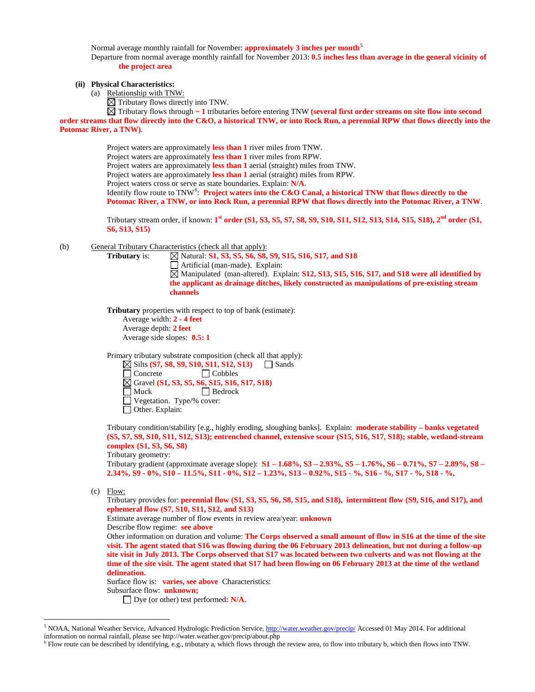Normal average monthly rainfall for November: **approximately 3 inches per month[5](#page-2-0)**

Departure from normal average monthly rainfall for November 2013: **0.5 inches less than average in the general vicinity of the project area**

# **(ii) Physical Characteristics:**

(a) Relationship with TNW:

 $\boxtimes$  Tributary flows directly into TNW.

Tributary flows through **~ 1** tributaries before entering TNW **(several first order streams on site flow into second order streams that flow directly into the C&O, a historical TNW, or into Rock Run, a perennial RPW that flows directly into the Potomac River, a TNW)**.

Project waters are approximately **less than 1** river miles from TNW.

Project waters are approximately **less than 1** river miles from RPW.

Project waters are approximately **less than 1** aerial (straight) miles from TNW.

Project waters are approximately **less than 1** aerial (straight) miles from RPW.

Project waters cross or serve as state boundaries. Explain: **N/A**.

Identify flow route to TNW[6](#page-2-1) : **Project waters into the C&O Canal, a historical TNW that flows directly to the Potomac River, a TNW, or into Rock Run, a perennial RPW that flows directly into the Potomac River, a TNW**.

Tributary stream order, if known: **1st order (S1, S3, S5, S7, S8, S9, S10, S11, S12, S13, S14, S15, S18), 2nd order (S1, S6, S13, S15)**

(b) General Tributary Characteristics (check all that apply):

**Tributary is:**  $\[\n\]\n\[\n\[\n\]\n\[\n\]\n\[\n\]\n\[\n\]\n\[\n\]\n\[\n\[\n\]\n\[\n\]\n\[\n\]\n\[\n\]\n\[\n\]\n\[\n\]\n\[\n\]\n\[\n\[\n\]\n\[\n\]\n\[\n\]\n\[\n\]\n\[\n\]\n\[\n\]\n\[\n\[\n\]\n\[\n\]\n\[\n\]\n\[\n\]\n\[\n\]\n\[\n\[\n\]\n\[\n\]\n\[\n\]\n\[\n\]\n\[\n\]\n\[\n\]\n\[\n\[\n\]\n$ Artificial (man-made). Explain: Manipulated (man-altered). Explain: **S12, S13, S15, S16, S17, and S18 were all identified by the applicant as drainage ditches, likely constructed as manipulations of pre-existing stream channels**

**Tributary** properties with respect to top of bank (estimate): Average width: **2 - 4 feet** Average depth: **2 feet** Average side slopes: **0.5: 1**

Primary tributary substrate composition (check all that apply):  $\boxtimes$  Silts **(S7, S8, S9, S10, S11, S12, S13)**  $\Box$  Sands Concrete Cobbles Gravel **(S1, S3, S5, S6, S15, S16, S17, S18)** Muck Bedrock Vegetation. Type/% cover:

Other. Explain:

Tributary condition/stability [e.g., highly eroding, sloughing banks]. Explain: **moderate stability – banks vegetated (S5, S7, S9, S10, S11, S12, S13); entrenched channel, extensive scour (S15, S16, S17, S18); stable, wetland-stream complex (S1, S3, S6, S8)** 

Tributary geometry:

Tributary gradient (approximate average slope): **S1 – 1.68%, S3 – 2.93%, S5 – 1.76%, S6 – 0.71%, S7 – 2.89%, S8 – 2.34%, S9 - 0%, S10 – 11.5%, S11 - 0%, S12 – 1.23%, S13 – 0.92%, S15 - %, S16 - %, S17 - %, S18 - %,**

(c) Flow:

Tributary provides for: **perennial flow (S1, S3, S5, S6, S8, S15, and S18), intermittent flow (S9, S16, and S17), and ephemeral flow (S7, S10, S11, S12, and S13)**

Estimate average number of flow events in review area/year: **unknown**

Describe flow regime: **see above**

Other information on duration and volume: **The Corps observed a small amount of flow in S16 at the time of the site visit. The agent stated that S16 was flowing during the 06 February 2013 delineation, but not during a follow-up site visit in July 2013. The Corps observed that S17 was located between two culverts and was not flowing at the time of the site visit. The agent stated that S17 had been flowing on 06 February 2013 at the time of the wetland delineation.** 

Surface flow is: **varies, see above** Characteristics:

Subsurface flow: **unknown;** 

Dye (or other) test performed**: N/A.**

<span id="page-2-0"></span><sup>&</sup>lt;sup>5</sup> NOAA, National Weather Service, Advanced Hydrologic Prediction Service[, http://water.weather.gov/precip/](http://water.weather.gov/precip/) Accessed 01 May 2014. For additional information on normal rainfall, please see http://water.weather.gov/precip/about.php

<span id="page-2-1"></span><sup>6</sup> Flow route can be described by identifying, e.g., tributary a, which flows through the review area, to flow into tributary b, which then flows into TNW.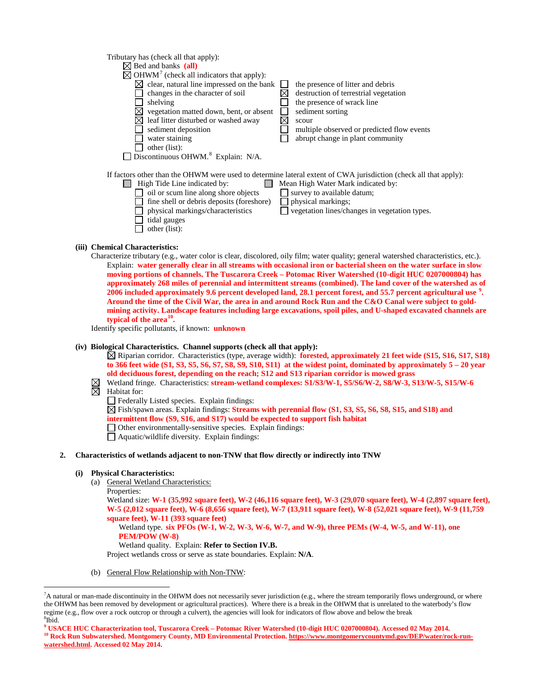| Tributary has (check all that apply):<br>$\boxtimes$ Bed and banks (all)<br>$\boxtimes$ OHWM <sup>7</sup> (check all indicators that apply):<br>clear, natural line impressed on the bank | the presence of litter and debris                                                                                |
|-------------------------------------------------------------------------------------------------------------------------------------------------------------------------------------------|------------------------------------------------------------------------------------------------------------------|
| changes in the character of soil                                                                                                                                                          | destruction of terrestrial vegetation                                                                            |
| shelving                                                                                                                                                                                  | the presence of wrack line                                                                                       |
| vegetation matted down, bent, or absent                                                                                                                                                   | sediment sorting                                                                                                 |
| leaf litter disturbed or washed away                                                                                                                                                      | scour                                                                                                            |
| sediment deposition                                                                                                                                                                       | multiple observed or predicted flow events                                                                       |
| water staining                                                                                                                                                                            | abrupt change in plant community                                                                                 |
| other (list):                                                                                                                                                                             |                                                                                                                  |
| Discontinuous OHWM. <sup>8</sup> Explain: N/A.                                                                                                                                            |                                                                                                                  |
|                                                                                                                                                                                           | If factors other than the OHWM were used to determine lateral extent of CWA jurisdiction (check all that apply): |
| High Tide Line indicated by:                                                                                                                                                              | Mean High Water Mark indicated by:                                                                               |
| oil or scum line along shore objects                                                                                                                                                      | survey to available datum;                                                                                       |
| fine shell or debris deposits (foreshore)                                                                                                                                                 | physical markings;                                                                                               |
| physical markings/characteristics                                                                                                                                                         | vegetation lines/changes in vegetation types.                                                                    |
| tidal gauges                                                                                                                                                                              |                                                                                                                  |

### **(iii) Chemical Characteristics:**

Characterize tributary (e.g., water color is clear, discolored, oily film; water quality; general watershed characteristics, etc.). Explain: **water generally clear in all streams with occasional iron or bacterial sheen on the water surface in slow moving portions of channels. The Tuscarora Creek – Potomac River Watershed (10-digit HUC 0207000804) has approximately 268 miles of perennial and intermittent streams (combined). The land cover of the watershed as of 2006 included approximately 9.6 percent developed land, 28.1 percent forest, and 55.7 percent agricultural use [9](#page-3-2) . Around the time of the Civil War, the area in and around Rock Run and the C&O Canal were subject to goldmining activity. Landscape features including large excavations, spoil piles, and U-shaped excavated channels are typical of the area[10](#page-3-3).**

Identify specific pollutants, if known: **unknown**

 $\Box$  other (list):

#### **(iv) Biological Characteristics. Channel supports (check all that apply):**

Riparian corridor. Characteristics (type, average width): **forested, approximately 21 feet wide (S15, S16, S17, S18) to 366 feet wide (S1, S3, S5, S6, S7, S8, S9, S10, S11) at the widest point, dominated by approximately 5 – 20 year old deciduous forest, depending on the reach; S12 and S13 riparian corridor is mowed grass**

- Wetland fringe. Characteristics: **stream-wetland complexes: S1/S3/W-1, S5/S6/W-2, S8/W-3, S13/W-5, S15/W-6**   $\boxtimes$  Wetland frii<br> $\boxtimes$  Habitat for:
	- Federally Listed species. Explain findings:

Fish/spawn areas. Explain findings: **Streams with perennial flow (S1, S3, S5, S6, S8, S15, and S18) and intermittent flow (S9, S16, and S17) would be expected to support fish habitat** Other environmentally-sensitive species. Explain findings:

Aquatic/wildlife diversity. Explain findings:

### **2. Characteristics of wetlands adjacent to non-TNW that flow directly or indirectly into TNW**

#### **(i) Physical Characteristics:**

(a) General Wetland Characteristics:

```
Properties:
```
Wetland size: **W-1 (35,992 square feet), W-2 (46,116 square feet), W-3 (29,070 square feet), W-4 (2,897 square feet), W-5 (2,012 square feet), W-6 (8,656 square feet), W-7 (13,911 square feet), W-8 (52,021 square feet), W-9 (11,759 square feet), W-11 (393 square feet)**

### Wetland type. **six PFOs (W-1, W-2, W-3, W-6, W-7, and W-9), three PEMs (W-4, W-5, and W-11), one PEM/POW (W-8)**

### Wetland quality. Explain: **Refer to Section IV.B.**

Project wetlands cross or serve as state boundaries. Explain: **N/A**.

(b) General Flow Relationship with Non-TNW:

<span id="page-3-0"></span><sup>-&</sup>lt;br>7 <sup>7</sup>A natural or man-made discontinuity in the OHWM does not necessarily sever jurisdiction (e.g., where the stream temporarily flows underground, or where the OHWM has been removed by development or agricultural practices). Where there is a break in the OHWM that is unrelated to the waterbody's flow regime (e.g., flow over a rock outcrop or through a culvert), the agencies will look for indicators of flow above and below the break <sup>8</sup>Ibid.

<span id="page-3-3"></span><span id="page-3-2"></span><span id="page-3-1"></span>**<sup>9</sup> USACE HUC Characterization tool, Tuscarora Creek – Potomac River Watershed (10-digit HUC 0207000804). Accessed 02 May 2014.** <sup>10</sup> Rock Run Subwatershed. Montgomery County, MD Environmental Protection[. https://www.montgomerycountymd.gov/DEP/water/rock-run](https://www.montgomerycountymd.gov/DEP/water/rock-run-watershed.html)**[watershed.html.](https://www.montgomerycountymd.gov/DEP/water/rock-run-watershed.html) Accessed 02 May 2014.**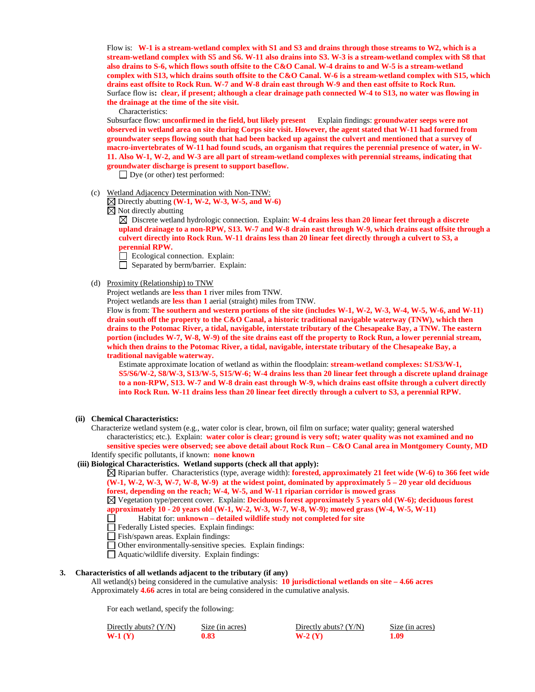Flow is: **W-1 is a stream-wetland complex with S1 and S3 and drains through those streams to W2, which is a stream-wetland complex with S5 and S6. W-11 also drains into S3. W-3 is a stream-wetland complex with S8 that also drains to S-6, which flows south offsite to the C&O Canal. W-4 drains to and W-5 is a stream-wetland complex with S13, which drains south offsite to the C&O Canal. W-6 is a stream-wetland complex with S15, which drains east offsite to Rock Run. W-7 and W-8 drain east through W-9 and then east offsite to Rock Run.**  Surface flow is**: clear, if present; although a clear drainage path connected W-4 to S13, no water was flowing in the drainage at the time of the site visit.**

Characteristics:

Subsurface flow: **unconfirmed in the field, but likely present** Explain findings: **groundwater seeps were not observed in wetland area on site during Corps site visit. However, the agent stated that W-11 had formed from groundwater seeps flowing south that had been backed up against the culvert and mentioned that a survey of macro-invertebrates of W-11 had found scuds, an organism that requires the perennial presence of water, in W-11. Also W-1, W-2, and W-3 are all part of stream-wetland complexes with perennial streams, indicating that groundwater discharge is present to support baseflow.**

Dye (or other) test performed:

- (c) Wetland Adjacency Determination with Non-TNW:
	- Directly abutting **(W-1, W-2, W-3, W-5, and W-6)**

 $\boxtimes$  Not directly abutting

 $\boxtimes$  Discrete wetland hydrologic connection. Explain: **W-4 drains less than 20 linear feet through a discrete upland drainage to a non-RPW, S13. W-7 and W-8 drain east through W-9, which drains east offsite through a culvert directly into Rock Run. W-11 drains less than 20 linear feet directly through a culvert to S3, a perennial RPW.** 

- Ecological connection. Explain:
- $\Box$  Separated by berm/barrier. Explain:

#### (d) Proximity (Relationship) to TNW

Project wetlands are **less than 1** river miles from TNW.

Project wetlands are **less than 1** aerial (straight) miles from TNW.

Flow is from: **The southern and western portions of the site (includes W-1, W-2, W-3, W-4, W-5, W-6, and W-11) drain south off the property to the C&O Canal, a historic traditional navigable waterway (TNW), which then drains to the Potomac River, a tidal, navigable, interstate tributary of the Chesapeake Bay, a TNW. The eastern portion (includes W-7, W-8, W-9) of the site drains east off the property to Rock Run, a lower perennial stream, which then drains to the Potomac River, a tidal, navigable, interstate tributary of the Chesapeake Bay, a traditional navigable waterway.**

Estimate approximate location of wetland as within the floodplain: **stream-wetland complexes: S1/S3/W-1, S5/S6/W-2, S8/W-3, S13/W-5, S15/W-6; W-4 drains less than 20 linear feet through a discrete upland drainage to a non-RPW, S13. W-7 and W-8 drain east through W-9, which drains east offsite through a culvert directly into Rock Run. W-11 drains less than 20 linear feet directly through a culvert to S3, a perennial RPW.** 

- **(ii) Chemical Characteristics:**
	- Characterize wetland system (e.g., water color is clear, brown, oil film on surface; water quality; general watershed characteristics; etc.). Explain: **water color is clear; ground is very soft; water quality was not examined and no sensitive species were observed; see above detail about Rock Run – C&O Canal area in Montgomery County, MD** Identify specific pollutants, if known: **none known**

#### **(iii) Biological Characteristics. Wetland supports (check all that apply):**

Riparian buffer. Characteristics (type, average width): **forested, approximately 21 feet wide (W-6) to 366 feet wide (W-1, W-2, W-3, W-7, W-8, W-9) at the widest point, dominated by approximately 5 – 20 year old deciduous forest, depending on the reach; W-4, W-5, and W-11 riparian corridor is mowed grass**

Vegetation type/percent cover. Explain: **Deciduous forest approximately 5 years old (W-6); deciduous forest approximately 10 - 20 years old (W-1, W-2, W-3, W-7, W-8, W-9); mowed grass (W-4, W-5, W-11)**

- Habitat for: **unknown – detailed wildlife study not completed for site**
- Federally Listed species. Explain findings:
- Fish/spawn areas. Explain findings:
- Other environmentally-sensitive species. Explain findings:
- Aquatic/wildlife diversity. Explain findings:
- **3. Characteristics of all wetlands adjacent to the tributary (if any)**  All wetland(s) being considered in the cumulative analysis: **10 jurisdictional wetlands on site – 4.66 acres** Approximately **4.66** acres in total are being considered in the cumulative analysis.

For each wetland, specify the following:

| Directly abuts? (Y/N) | Size (in acres) | Directly abuts? $(Y/N)$ | Size (in acres) |
|-----------------------|-----------------|-------------------------|-----------------|
| W-1 $(Y)$             | 0.83            | $W-2(Y)$                |                 |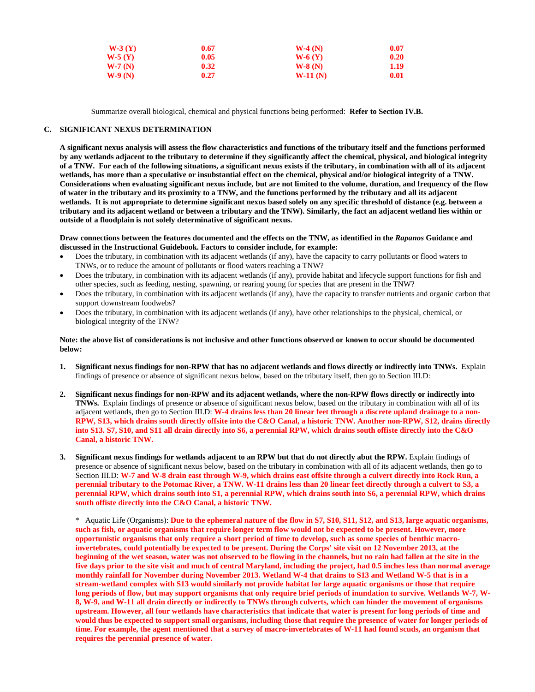| $W-3(Y)$<br>0.67<br>$W-5(Y)$<br>0.05<br>$W-7(N)$<br>0.32 <sub>1</sub> |  | $W-4(N)$             | 0.07<br>0.20<br>1.19 |
|-----------------------------------------------------------------------|--|----------------------|----------------------|
|                                                                       |  | $W-6(Y)$<br>$W-8(N)$ |                      |
|                                                                       |  |                      |                      |

Summarize overall biological, chemical and physical functions being performed: **Refer to Section IV.B.**

# **C. SIGNIFICANT NEXUS DETERMINATION**

**A significant nexus analysis will assess the flow characteristics and functions of the tributary itself and the functions performed by any wetlands adjacent to the tributary to determine if they significantly affect the chemical, physical, and biological integrity of a TNW. For each of the following situations, a significant nexus exists if the tributary, in combination with all of its adjacent wetlands, has more than a speculative or insubstantial effect on the chemical, physical and/or biological integrity of a TNW. Considerations when evaluating significant nexus include, but are not limited to the volume, duration, and frequency of the flow of water in the tributary and its proximity to a TNW, and the functions performed by the tributary and all its adjacent wetlands. It is not appropriate to determine significant nexus based solely on any specific threshold of distance (e.g. between a tributary and its adjacent wetland or between a tributary and the TNW). Similarly, the fact an adjacent wetland lies within or outside of a floodplain is not solely determinative of significant nexus.** 

**Draw connections between the features documented and the effects on the TNW, as identified in the** *Rapanos* **Guidance and discussed in the Instructional Guidebook. Factors to consider include, for example:**

- Does the tributary, in combination with its adjacent wetlands (if any), have the capacity to carry pollutants or flood waters to TNWs, or to reduce the amount of pollutants or flood waters reaching a TNW?
- Does the tributary, in combination with its adjacent wetlands (if any), provide habitat and lifecycle support functions for fish and other species, such as feeding, nesting, spawning, or rearing young for species that are present in the TNW?
- Does the tributary, in combination with its adjacent wetlands (if any), have the capacity to transfer nutrients and organic carbon that support downstream foodwebs?
- Does the tributary, in combination with its adjacent wetlands (if any), have other relationships to the physical, chemical, or biological integrity of the TNW?

## **Note: the above list of considerations is not inclusive and other functions observed or known to occur should be documented below:**

- **1. Significant nexus findings for non-RPW that has no adjacent wetlands and flows directly or indirectly into TNWs.** Explain findings of presence or absence of significant nexus below, based on the tributary itself, then go to Section III.D:
- **2. Significant nexus findings for non-RPW and its adjacent wetlands, where the non-RPW flows directly or indirectly into TNWs.** Explain findings of presence or absence of significant nexus below, based on the tributary in combination with all of its adjacent wetlands, then go to Section III.D: **W-4 drains less than 20 linear feet through a discrete upland drainage to a non-RPW, S13, which drains south directly offsite into the C&O Canal, a historic TNW. Another non-RPW, S12, drains directly into S13. S7, S10, and S11 all drain directly into S6, a perennial RPW, which drains south offiste directly into the C&O Canal, a historic TNW.**
- **3. Significant nexus findings for wetlands adjacent to an RPW but that do not directly abut the RPW.** Explain findings of presence or absence of significant nexus below, based on the tributary in combination with all of its adjacent wetlands, then go to Section III.D: **W-7 and W-8 drain east through W-9, which drains east offsite through a culvert directly into Rock Run, a perennial tributary to the Potomac River, a TNW. W-11 drains less than 20 linear feet directly through a culvert to S3, a perennial RPW, which drains south into S1, a perennial RPW, which drains south into S6, a perennial RPW, which drains south offiste directly into the C&O Canal, a historic TNW.**

\* Aquatic Life (Organisms): **Due to the ephemeral nature of the flow in S7, S10, S11, S12, and S13, large aquatic organisms, such as fish, or aquatic organisms that require longer term flow would not be expected to be present. However, more opportunistic organisms that only require a short period of time to develop, such as some species of benthic macroinvertebrates, could potentially be expected to be present. During the Corps' site visit on 12 November 2013, at the beginning of the wet season, water was not observed to be flowing in the channels, but no rain had fallen at the site in the five days prior to the site visit and much of central Maryland, including the project, had 0.5 inches less than normal average monthly rainfall for November during November 2013. Wetland W-4 that drains to S13 and Wetland W-5 that is in a stream-wetland complex with S13 would similarly not provide habitat for large aquatic organisms or those that require long periods of flow, but may support organisms that only require brief periods of inundation to survive. Wetlands W-7, W-8, W-9, and W-11 all drain directly or indirectly to TNWs through culverts, which can hinder the movement of organisms upstream. However, all four wetlands have characteristics that indicate that water is present for long periods of time and would thus be expected to support small organisms, including those that require the presence of water for longer periods of time. For example, the agent mentioned that a survey of macro-invertebrates of W-11 had found scuds, an organism that requires the perennial presence of water.**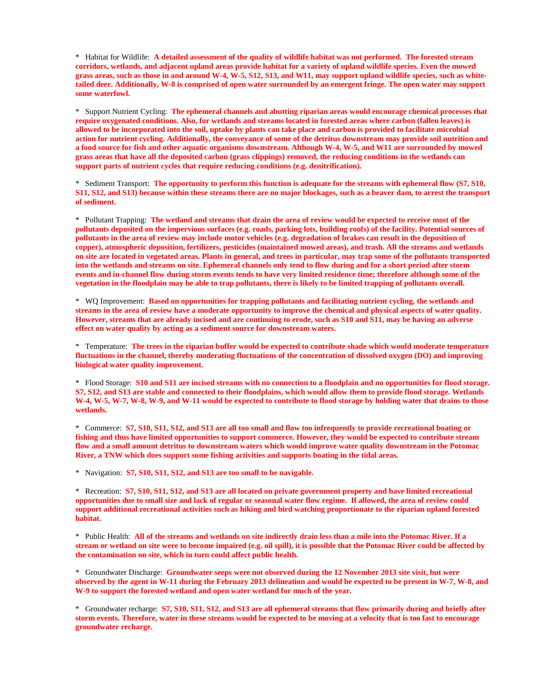\* Habitat for Wildlife: **A detailed assessment of the quality of wildlife habitat was not performed. The forested stream corridors, wetlands, and adjacent upland areas provide habitat for a variety of upland wildlife species. Even the mowed grass areas, such as those in and around W-4, W-5, S12, S13, and W11, may support upland wildlife species, such as whitetailed deer. Additionally, W-8 is comprised of open water surrounded by an emergent fringe. The open water may support some waterfowl.**

\* Support Nutrient Cycling: **The ephemeral channels and abutting riparian areas would encourage chemical processes that require oxygenated conditions. Also, for wetlands and streams located in forested areas where carbon (fallen leaves) is allowed to be incorporated into the soil, uptake by plants can take place and carbon is provided to facilitate microbial action for nutrient cycling. Additionally, the conveyance of some of the detritus downstream may provide soil nutrition and a food source for fish and other aquatic organisms downstream. Although W-4, W-5, and W11 are surrounded by mowed grass areas that have all the deposited carbon (grass clippings) removed, the reducing conditions in the wetlands can support parts of nutrient cycles that require reducing conditions (e.g. denitrification).** 

\* Sediment Transport: **The opportunity to perform this function is adequate for the streams with ephemeral flow (S7, S10, S11, S12, and S13) because within these streams there are no major blockages, such as a beaver dam, to arrest the transport of sediment.**

\* Pollutant Trapping: **The wetland and streams that drain the area of review would be expected to receive most of the pollutants deposited on the impervious surfaces (e.g. roads, parking lots, building roofs) of the facility. Potential sources of pollutants in the area of review may include motor vehicles (e.g. degradation of brakes can result in the deposition of copper), atmospheric deposition, fertilizers, pesticides (maintained mowed areas), and trash. All the streams and wetlands on site are located in vegetated areas. Plants in general, and trees in particular, may trap some of the pollutants transported into the wetlands and streams on site. Ephemeral channels only tend to flow during and for a short period after storm events and in-channel flow during storm events tends to have very limited residence time; therefore although some of the vegetation in the floodplain may be able to trap pollutants, there is likely to be limited trapping of pollutants overall.** 

\* WQ Improvement: **Based on opportunities for trapping pollutants and facilitating nutrient cycling, the wetlands and streams in the area of review have a moderate opportunity to improve the chemical and physical aspects of water quality. However, streams that are already incised and are continuing to erode, such as S10 and S11, may be having an adverse effect on water quality by acting as a sediment source for downstream waters.** 

\* Temperature: **The trees in the riparian buffer would be expected to contribute shade which would moderate temperature fluctuations in the channel, thereby moderating fluctuations of the concentration of dissolved oxygen (DO) and improving biological water quality improvement.**

\* Flood Storage: **S10 and S11 are incised streams with no connection to a floodplain and no opportunities for flood storage. S7, S12, and S13 are stable and connected to their floodplains, which would allow them to provide flood storage. Wetlands W-4, W-5, W-7, W-8, W-9, and W-11 would be expected to contribute to flood storage by holding water that drains to those wetlands.** 

\* Commerce: **S7, S10, S11, S12, and S13 are all too small and flow too infrequently to provide recreational boating or fishing and thus have limited opportunities to support commerce. However, they would be expected to contribute stream flow and a small amount detritus to downstream waters which would improve water quality downstream in the Potomac River, a TNW which does support some fishing activities and supports boating in the tidal areas.**

\* Navigation: **S7, S10, S11, S12, and S13 are too small to be navigable.**

\* Recreation: **S7, S10, S11, S12, and S13 are all located on private government property and have limited recreational opportunities due to small size and lack of regular or seasonal water flow regime. If allowed, the area of review could support additional recreational activities such as hiking and bird watching proportionate to the riparian upland forested habitat.**

\* Public Health: **All of the streams and wetlands on site indirectly drain less than a mile into the Potomac River. If a stream or wetland on site were to become impaired (e.g. oil spill), it is possible that the Potomac River could be affected by the contamination on site, which in turn could affect public health.** 

\* Groundwater Discharge: **Groundwater seeps were not observed during the 12 November 2013 site visit, but were observed by the agent in W-11 during the February 2013 delineation and would be expected to be present in W-7, W-8, and W-9 to support the forested wetland and open water wetland for much of the year.**

\* Groundwater recharge: **S7, S10, S11, S12, and S13 are all ephemeral streams that flow primarily during and briefly after storm events. Therefore, water in these streams would be expected to be moving at a velocity that is too fast to encourage groundwater recharge.**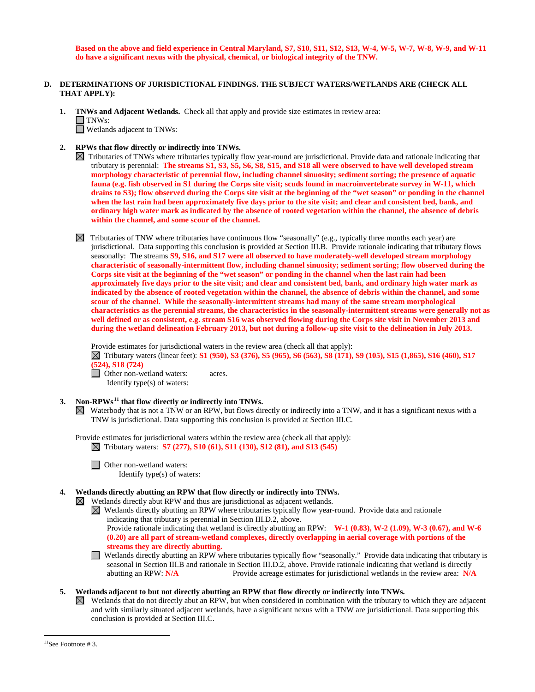**Based on the above and field experience in Central Maryland, S7, S10, S11, S12, S13, W-4, W-5, W-7, W-8, W-9, and W-11 do have a significant nexus with the physical, chemical, or biological integrity of the TNW.**

## **D. DETERMINATIONS OF JURISDICTIONAL FINDINGS. THE SUBJECT WATERS/WETLANDS ARE (CHECK ALL THAT APPLY):**

- **1. TNWs and Adjacent Wetlands.** Check all that apply and provide size estimates in review area:  $\Box$  TNWs: Wetlands adjacent to TNWs:
- **2. RPWs that flow directly or indirectly into TNWs.**
	- $\boxtimes$  Tributaries of TNWs where tributaries typically flow year-round are jurisdictional. Provide data and rationale indicating that tributary is perennial: **The streams S1, S3, S5, S6, S8, S15, and S18 all were observed to have well developed stream morphology characteristic of perennial flow, including channel sinuosity; sediment sorting; the presence of aquatic fauna (e.g. fish observed in S1 during the Corps site visit; scuds found in macroinvertebrate survey in W-11, which drains to S3); flow observed during the Corps site visit at the beginning of the "wet season" or ponding in the channel when the last rain had been approximately five days prior to the site visit; and clear and consistent bed, bank, and ordinary high water mark as indicated by the absence of rooted vegetation within the channel, the absence of debris within the channel, and some scour of the channel.**
	- $\boxtimes$  Tributaries of TNW where tributaries have continuous flow "seasonally" (e.g., typically three months each year) are jurisdictional. Data supporting this conclusion is provided at Section III.B. Provide rationale indicating that tributary flows seasonally: The streams **S9, S16, and S17 were all observed to have moderately-well developed stream morphology characteristic of seasonally-intermittent flow, including channel sinuosity; sediment sorting; flow observed during the Corps site visit at the beginning of the "wet season" or ponding in the channel when the last rain had been approximately five days prior to the site visit; and clear and consistent bed, bank, and ordinary high water mark as indicated by the absence of rooted vegetation within the channel, the absence of debris within the channel, and some scour of the channel. While the seasonally-intermittent streams had many of the same stream morphological characteristics as the perennial streams, the characteristics in the seasonally-intermittent streams were generally not as well defined or as consistent, e.g. stream S16 was observed flowing during the Corps site visit in November 2013 and during the wetland delineation February 2013, but not during a follow-up site visit to the delineation in July 2013.**

Provide estimates for jurisdictional waters in the review area (check all that apply):

 Tributary waters (linear feet): **S1 (950), S3 (376), S5 (965), S6 (563), S8 (171), S9 (105), S15 (1,865), S16 (460), S17 (524), S18 (724)**

**D** Other non-wetland waters: acres. Identify type(s) of waters:

### **3. Non-RPWs[11](#page-7-0) that flow directly or indirectly into TNWs.**

Waterbody that is not a TNW or an RPW, but flows directly or indirectly into a TNW, and it has a significant nexus with a TNW is jurisdictional. Data supporting this conclusion is provided at Section III.C.

Provide estimates for jurisdictional waters within the review area (check all that apply): Tributary waters: **S7 (277), S10 (61), S11 (130), S12 (81), and S13 (545)**

□ Other non-wetland waters: Identify type(s) of waters:

## **4. Wetlands directly abutting an RPW that flow directly or indirectly into TNWs.**

 $\boxtimes$  Wetlands directly abut RPW and thus are jurisdictional as adjacent wetlands.

Wetlands directly abutting an RPW where tributaries typically flow year-round. Provide data and rationale indicating that tributary is perennial in Section III.D.2, above.

Provide rationale indicating that wetland is directly abutting an RPW: **W-1 (0.83), W-2 (1.09), W-3 (0.67), and W-6 (0.20) are all part of stream-wetland complexes, directly overlapping in aerial coverage with portions of the streams they are directly abutting.**

Wetlands directly abutting an RPW where tributaries typically flow "seasonally." Provide data indicating that tributary is seasonal in Section III.B and rationale in Section III.D.2, above. Provide rationale indicating that wetland is directly abutting an RPW: N/A<br>Provide acreage estimates for jurisdictional wetlands in the review area: N/A Provide acreage estimates for jurisdictional wetlands in the review area: N/A

# **5. Wetlands adjacent to but not directly abutting an RPW that flow directly or indirectly into TNWs.**

 $\boxtimes$  Wetlands that do not directly abut an RPW, but when considered in combination with the tributary to which they are adjacent and with similarly situated adjacent wetlands, have a significant nexus with a TNW are jurisidictional. Data supporting this conclusion is provided at Section III.C.

<span id="page-7-0"></span> $11$ See Footnote # 3.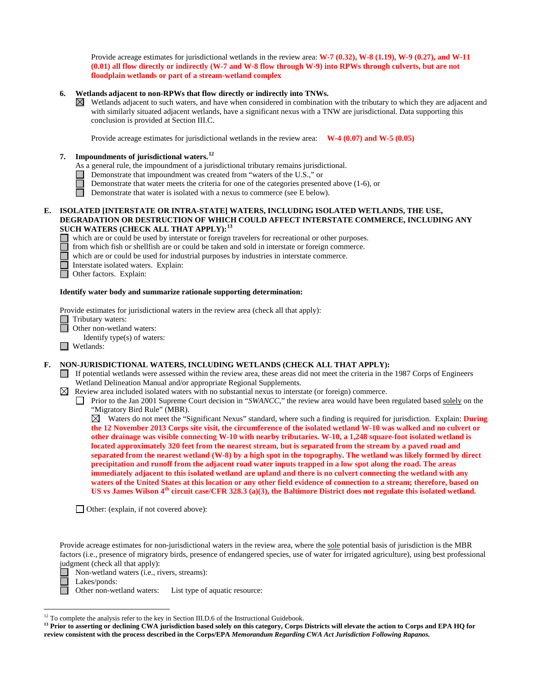Provide acreage estimates for jurisdictional wetlands in the review area: **W-7 (0.32), W-8 (1.19), W-9 (0.27), and W-11 (0.01) all flow directly or indirectly (W-7 and W-8 flow through W-9) into RPWs through culverts, but are not floodplain wetlands or part of a stream-wetland complex**

## **6. Wetlands adjacent to non-RPWs that flow directly or indirectly into TNWs.**

 $\boxtimes$  Wetlands adjacent to such waters, and have when considered in combination with the tributary to which they are adjacent and with similarly situated adjacent wetlands, have a significant nexus with a TNW are jurisdictional. Data supporting this conclusion is provided at Section III.C.

Provide acreage estimates for jurisdictional wetlands in the review area: **W-4 (0.07) and W-5 (0.05)**

# **7. Impoundments of jurisdictional waters.[12](#page-8-0)**

- As a general rule, the impoundment of a jurisdictional tributary remains jurisdictional.
- Demonstrate that impoundment was created from "waters of the U.S.," or
	- Demonstrate that water meets the criteria for one of the categories presented above (1-6), or
- $\Box$ Demonstrate that water is isolated with a nexus to commerce (see E below).

## **E. ISOLATED [INTERSTATE OR INTRA-STATE] WATERS, INCLUDING ISOLATED WETLANDS, THE USE, DEGRADATION OR DESTRUCTION OF WHICH COULD AFFECT INTERSTATE COMMERCE, INCLUDING ANY SUCH WATERS (CHECK ALL THAT APPLY):[13](#page-8-1)**

- which are or could be used by interstate or foreign travelers for recreational or other purposes.
	- from which fish or shellfish are or could be taken and sold in interstate or foreign commerce.
	- which are or could be used for industrial purposes by industries in interstate commerce.

Interstate isolated waters.Explain:

Other factors.Explain:

### **Identify water body and summarize rationale supporting determination:**

Provide estimates for jurisdictional waters in the review area (check all that apply):

- Tributary waters:<br>
Other non-waters:
	- Other non-wetland waters:
		- Identify type(s) of waters:
- Wetlands:

### **F. NON-JURISDICTIONAL WATERS, INCLUDING WETLANDS (CHECK ALL THAT APPLY):**

- $\Box$  If potential wetlands were assessed within the review area, these areas did not meet the criteria in the 1987 Corps of Engineers Wetland Delineation Manual and/or appropriate Regional Supplements.
- Review area included isolated waters with no substantial nexus to interstate (or foreign) commerce.

 Waters do not meet the "Significant Nexus" standard, where such a finding is required for jurisdiction. Explain: **During the 12 November 2013 Corps site visit, the circumference of the isolated wetland W-10 was walked and no culvert or other drainage was visible connecting W-10 with nearby tributaries. W-10, a 1,248 square-foot isolated wetland is located approximately 320 feet from the nearest stream, but is separated from the stream by a paved road and separated from the nearest wetland (W-8) by a high spot in the topography. The wetland was likely formed by direct precipitation and runoff from the adjacent road water inputs trapped in a low spot along the road. The areas immediately adjacent to this isolated wetland are upland and there is no culvert connecting the wetland with any waters of the United States at this location or any other field evidence of connection to a stream; therefore, based on US vs James Wilson 4th circuit case/CFR 328.3 (a)(3), the Baltimore District does not regulate this isolated wetland.** 

□ Other: (explain, if not covered above):

Provide acreage estimates for non-jurisdictional waters in the review area, where the sole potential basis of jurisdiction is the MBR factors (i.e., presence of migratory birds, presence of endangered species, use of water for irrigated agriculture), using best professional judgment (check all that apply):



Lakes/ponds:

Other non-wetland waters: List type of aquatic resource:

Prior to the Jan 2001 Supreme Court decision in "*SWANCC*," the review area would have been regulated based solely on the "Migratory Bird Rule" (MBR).

<span id="page-8-0"></span><sup>&</sup>lt;sup>12</sup> To complete the analysis refer to the key in Section III.D.6 of the Instructional Guidebook.

<span id="page-8-1"></span><sup>&</sup>lt;sup>13</sup> Prior to asserting or declining CWA jurisdiction based solely on this category, Corps Districts will elevate the action to Corps and EPA HQ for **review consistent with the process described in the Corps/EPA** *Memorandum Regarding CWA Act Jurisdiction Following Rapanos.*